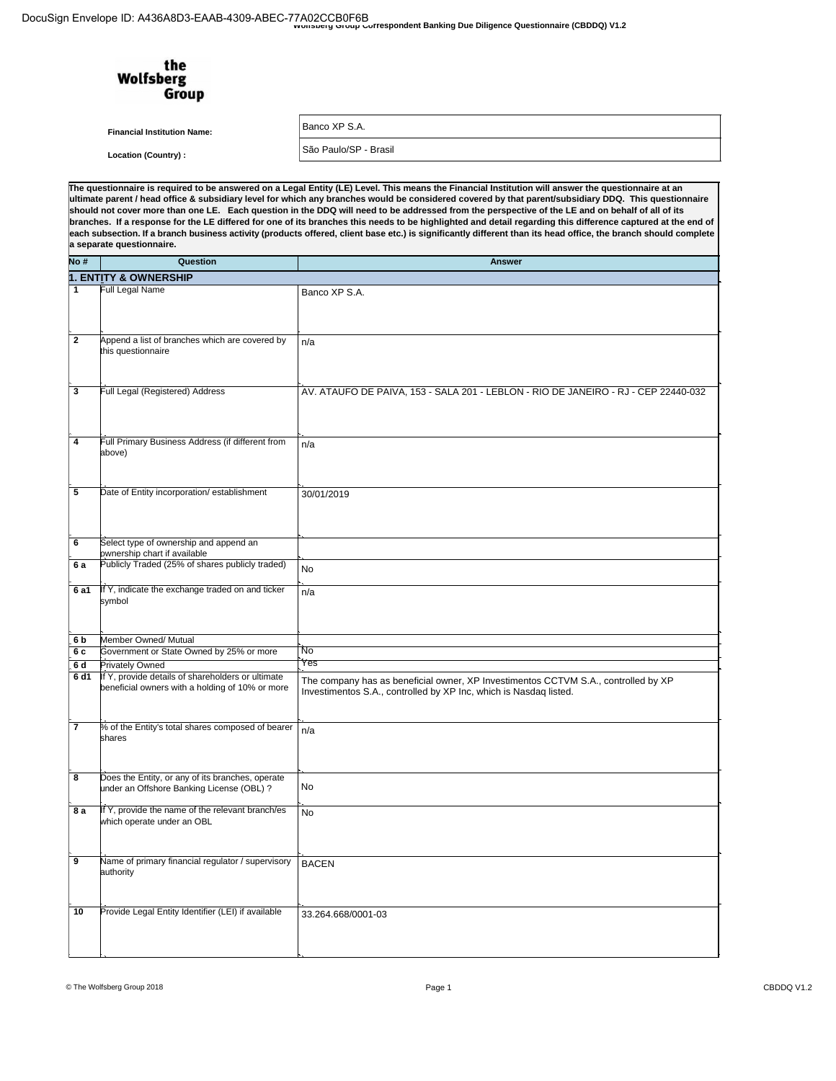| wyunsperu Group Correspondent Banking Due Diligence Questionnaire (CBDDQ) V1.2 |  |
|--------------------------------------------------------------------------------|--|
|                                                                                |  |
|                                                                                |  |

| the<br><b>Wolfsberg</b><br>Group   |                                                                                                                                                    |
|------------------------------------|----------------------------------------------------------------------------------------------------------------------------------------------------|
| <b>Financial Institution Name:</b> | Banco XP S.A.                                                                                                                                      |
| Location (Country) :               | São Paulo/SP - Brasil                                                                                                                              |
|                                    | he questionnaire is required to be answered on a Legal Entity (LE) Level. This means the Financial Institution will answer the questionnaire at an |

TI The questionnaire is required to be answered on a Legal Entity (LE) Level. This means the Financial institution will answer the questionnaire at an<br>ultimate parent / head office & subsidiary level for which any branches wo a separate questionnaire.

| NO #                    | Question                                           | <b>Answer</b>                                                                      |
|-------------------------|----------------------------------------------------|------------------------------------------------------------------------------------|
|                         | <b>1. ENTITY &amp; OWNERSHIP</b>                   |                                                                                    |
| 1                       | Full Legal Name                                    |                                                                                    |
|                         |                                                    | Banco XP S.A.                                                                      |
|                         |                                                    |                                                                                    |
|                         |                                                    |                                                                                    |
|                         |                                                    |                                                                                    |
| $\mathbf{2}$            | Append a list of branches which are covered by     | n/a                                                                                |
|                         | this questionnaire                                 |                                                                                    |
|                         |                                                    |                                                                                    |
|                         |                                                    |                                                                                    |
|                         |                                                    |                                                                                    |
| 3                       | Full Legal (Registered) Address                    | AV. ATAUFO DE PAIVA, 153 - SALA 201 - LEBLON - RIO DE JANEIRO - RJ - CEP 22440-032 |
|                         |                                                    |                                                                                    |
|                         |                                                    |                                                                                    |
|                         |                                                    |                                                                                    |
|                         |                                                    |                                                                                    |
| $\overline{\mathbf{4}}$ | Full Primary Business Address (if different from   | n/a                                                                                |
|                         | above)                                             |                                                                                    |
|                         |                                                    |                                                                                    |
|                         |                                                    |                                                                                    |
|                         |                                                    |                                                                                    |
| 5                       | Date of Entity incorporation/ establishment        | 30/01/2019                                                                         |
|                         |                                                    |                                                                                    |
|                         |                                                    |                                                                                    |
|                         |                                                    |                                                                                    |
|                         |                                                    |                                                                                    |
| 6                       | Select type of ownership and append an             |                                                                                    |
|                         | pwnership chart if available                       |                                                                                    |
| 6a                      | Publicly Traded (25% of shares publicly traded)    | No                                                                                 |
|                         |                                                    |                                                                                    |
| 6 a1                    | If Y, indicate the exchange traded on and ticker   | n/a                                                                                |
|                         | symbol                                             |                                                                                    |
|                         |                                                    |                                                                                    |
|                         |                                                    |                                                                                    |
|                         |                                                    |                                                                                    |
| 6 <sub>b</sub>          | Member Owned/ Mutual                               |                                                                                    |
| 6 c                     | Government or State Owned by 25% or more           | <b>No</b>                                                                          |
| 6d                      | <b>Privately Owned</b>                             | Yes                                                                                |
| 6 d1                    | If Y, provide details of shareholders or ultimate  |                                                                                    |
|                         |                                                    | The company has as beneficial owner, XP Investimentos CCTVM S.A., controlled by XP |
|                         | beneficial owners with a holding of 10% or more    | Investimentos S.A., controlled by XP Inc, which is Nasdaq listed.                  |
|                         |                                                    |                                                                                    |
|                         |                                                    |                                                                                    |
| 7                       | % of the Entity's total shares composed of bearer  |                                                                                    |
|                         | shares                                             | n/a                                                                                |
|                         |                                                    |                                                                                    |
|                         |                                                    |                                                                                    |
|                         |                                                    |                                                                                    |
| 8                       | Does the Entity, or any of its branches, operate   |                                                                                    |
|                         | under an Offshore Banking License (OBL) ?          | No                                                                                 |
|                         |                                                    |                                                                                    |
| 8 a                     | If Y, provide the name of the relevant branch/es   |                                                                                    |
|                         | which operate under an OBL                         | <b>No</b>                                                                          |
|                         |                                                    |                                                                                    |
|                         |                                                    |                                                                                    |
|                         |                                                    |                                                                                    |
| 9                       | Name of primary financial regulator / supervisory  | <b>BACEN</b>                                                                       |
|                         | authority                                          |                                                                                    |
|                         |                                                    |                                                                                    |
|                         |                                                    |                                                                                    |
|                         |                                                    |                                                                                    |
| 10                      | Provide Legal Entity Identifier (LEI) if available | 33.264.668/0001-03                                                                 |
|                         |                                                    |                                                                                    |
|                         |                                                    |                                                                                    |
|                         |                                                    |                                                                                    |
|                         |                                                    |                                                                                    |
|                         |                                                    |                                                                                    |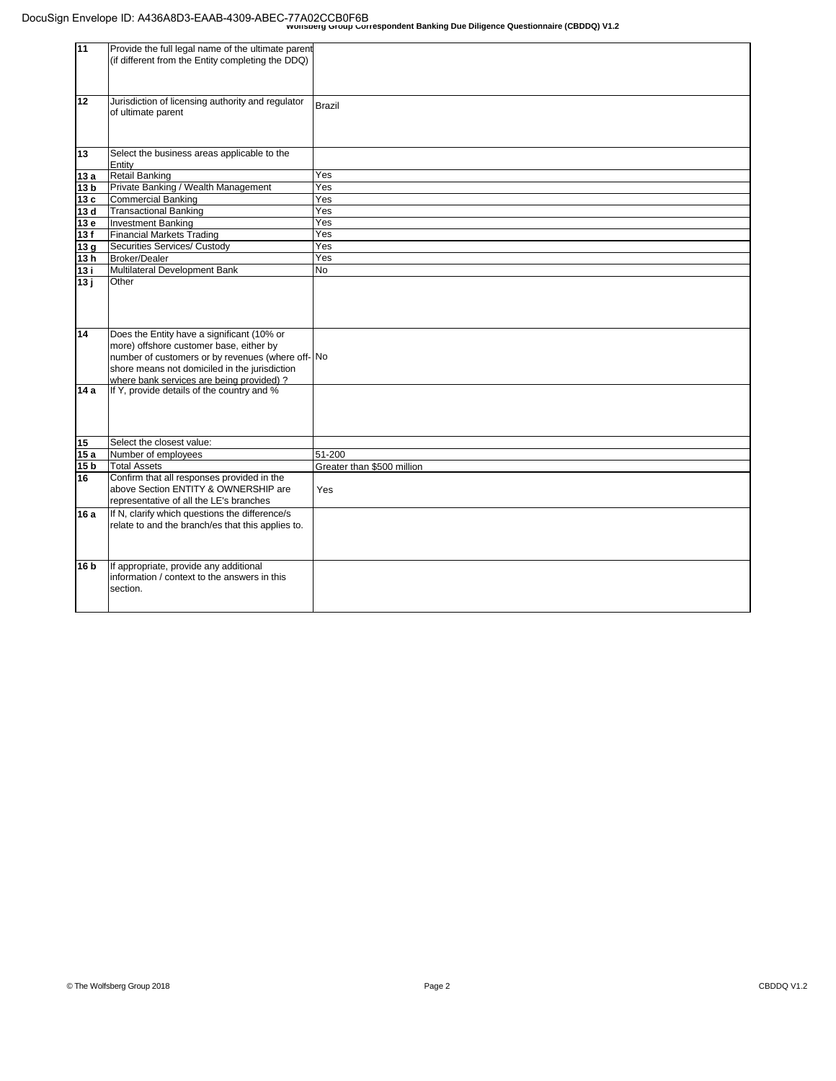| 11              | Provide the full legal name of the ultimate parent<br>(if different from the Entity completing the DDQ)                                                                                                                                 |                            |
|-----------------|-----------------------------------------------------------------------------------------------------------------------------------------------------------------------------------------------------------------------------------------|----------------------------|
| 12              | Jurisdiction of licensing authority and regulator<br>of ultimate parent                                                                                                                                                                 | <b>Brazil</b>              |
| 13              | Select the business areas applicable to the<br>Entity                                                                                                                                                                                   |                            |
| 13a             | <b>Retail Banking</b>                                                                                                                                                                                                                   | Yes                        |
| 13 <sub>b</sub> | Private Banking / Wealth Management                                                                                                                                                                                                     | Yes                        |
| 13c             | <b>Commercial Banking</b>                                                                                                                                                                                                               | Yes                        |
| 13 d            | <b>Transactional Banking</b>                                                                                                                                                                                                            | Yes                        |
| 13 e            | <b>Investment Banking</b>                                                                                                                                                                                                               | Yes                        |
| 13f             | <b>Financial Markets Trading</b>                                                                                                                                                                                                        | Yes                        |
| 13 <sub>g</sub> | Securities Services/ Custody                                                                                                                                                                                                            | Yes                        |
| 13h             | <b>Broker/Dealer</b>                                                                                                                                                                                                                    | Yes                        |
| 13 i            | Multilateral Development Bank                                                                                                                                                                                                           | No                         |
| 13j             | Other                                                                                                                                                                                                                                   |                            |
| 14              | Does the Entity have a significant (10% or<br>more) offshore customer base, either by<br>number of customers or by revenues (where off- No<br>shore means not domiciled in the jurisdiction<br>where bank services are being provided)? |                            |
| 14 a            | If Y, provide details of the country and %                                                                                                                                                                                              |                            |
| 15              | Select the closest value:                                                                                                                                                                                                               |                            |
| 15a             | Number of employees                                                                                                                                                                                                                     | 51-200                     |
| 15 b            | <b>Total Assets</b>                                                                                                                                                                                                                     | Greater than \$500 million |
| 16              | Confirm that all responses provided in the<br>above Section ENTITY & OWNERSHIP are<br>representative of all the LE's branches                                                                                                           | Yes                        |
| 16 a            | If N, clarify which questions the difference/s<br>relate to and the branch/es that this applies to.                                                                                                                                     |                            |
| 16 b            | If appropriate, provide any additional<br>information / context to the answers in this<br>section.                                                                                                                                      |                            |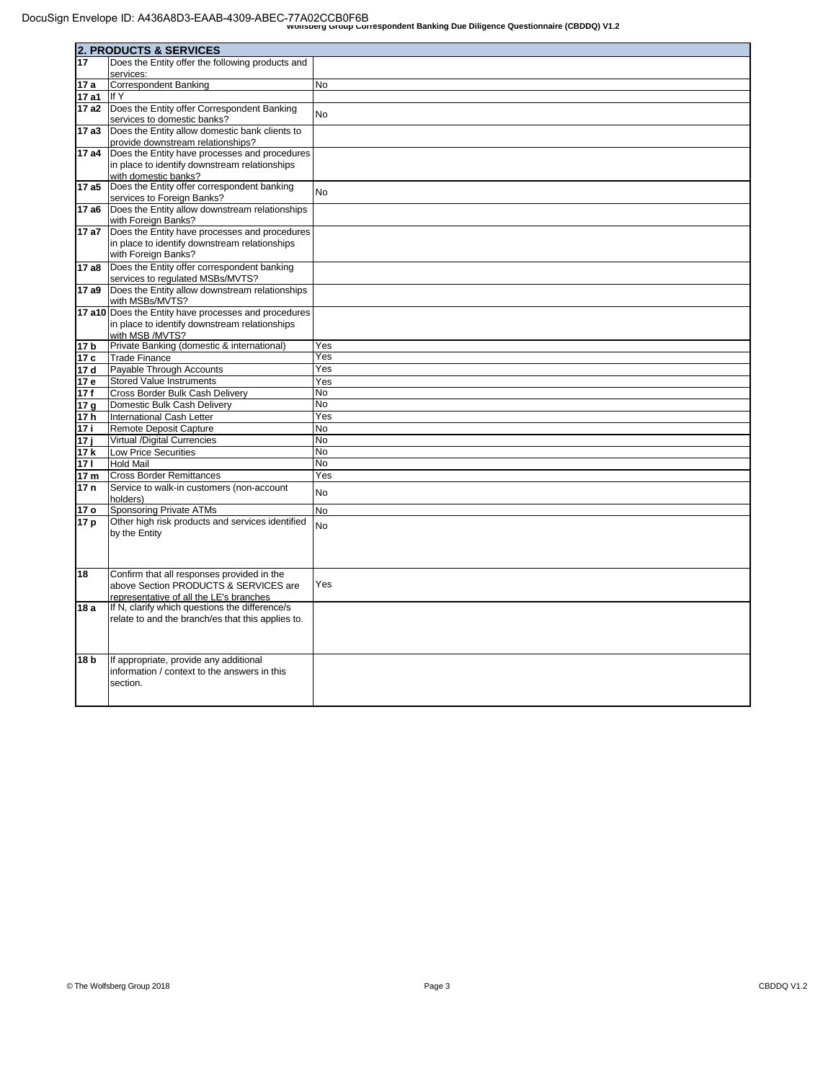|                        | <b>2. PRODUCTS &amp; SERVICES</b>                                                |                 |
|------------------------|----------------------------------------------------------------------------------|-----------------|
| 17                     | Does the Entity offer the following products and                                 |                 |
|                        | services:                                                                        |                 |
| 17 a                   | <b>Correspondent Banking</b>                                                     | No              |
| 17 a1                  | If Y                                                                             |                 |
| 17 a2                  | Does the Entity offer Correspondent Banking                                      | <b>No</b>       |
|                        | services to domestic banks?                                                      |                 |
| 17 a3                  | Does the Entity allow domestic bank clients to                                   |                 |
|                        | provide downstream relationships?                                                |                 |
| 17 a4                  | Does the Entity have processes and procedures                                    |                 |
|                        | in place to identify downstream relationships                                    |                 |
|                        | with domestic banks?                                                             |                 |
| 17 a5                  | Does the Entity offer correspondent banking<br>services to Foreign Banks?        | <b>No</b>       |
| 17 a6                  | Does the Entity allow downstream relationships                                   |                 |
|                        | with Foreign Banks?                                                              |                 |
| 17 a7                  | Does the Entity have processes and procedures                                    |                 |
|                        | in place to identify downstream relationships                                    |                 |
|                        | with Foreign Banks?                                                              |                 |
| 17 a8                  | Does the Entity offer correspondent banking                                      |                 |
|                        | services to regulated MSBs/MVTS?                                                 |                 |
| 17 a9                  | Does the Entity allow downstream relationships                                   |                 |
|                        | with MSBs/MVTS?                                                                  |                 |
|                        | 17 a10 Does the Entity have processes and procedures                             |                 |
|                        | in place to identify downstream relationships                                    |                 |
|                        | with MSB /MVTS?                                                                  |                 |
| 17 <sub>b</sub>        | Private Banking (domestic & international)                                       | Yes             |
| 17 c                   | <b>Trade Finance</b>                                                             | Yes             |
| 17 d                   | Payable Through Accounts                                                         | Yes             |
| 17 e                   | <b>Stored Value Instruments</b>                                                  | Yes             |
| 17f                    | Cross Border Bulk Cash Delivery                                                  | No<br><b>No</b> |
| 17 <sub>g</sub>        | Domestic Bulk Cash Delivery                                                      |                 |
| 17h                    | International Cash Letter                                                        | Yes             |
| 17 i                   | Remote Deposit Capture                                                           | <b>No</b>       |
| 17i                    | Virtual /Digital Currencies                                                      | No              |
| 17k                    | <b>Low Price Securities</b><br><b>Hold Mail</b>                                  | No<br>No        |
| 171                    |                                                                                  |                 |
| 17 <sub>m</sub><br>17n | <b>Cross Border Remittances</b><br>Service to walk-in customers (non-account     | Yes             |
|                        | holders)                                                                         | <b>No</b>       |
| 17 o                   | <b>Sponsoring Private ATMs</b>                                                   | No              |
| 17 p                   | Other high risk products and services identified                                 |                 |
|                        | by the Entity                                                                    | <b>No</b>       |
|                        |                                                                                  |                 |
|                        |                                                                                  |                 |
|                        |                                                                                  |                 |
| 18                     | Confirm that all responses provided in the                                       | Yes             |
|                        | above Section PRODUCTS & SERVICES are<br>representative of all the LE's branches |                 |
| 18a                    | If N, clarify which questions the difference/s                                   |                 |
|                        | relate to and the branch/es that this applies to.                                |                 |
|                        |                                                                                  |                 |
|                        |                                                                                  |                 |
|                        |                                                                                  |                 |
| 18 <sub>b</sub>        | If appropriate, provide any additional                                           |                 |
|                        | information / context to the answers in this                                     |                 |
|                        | section.                                                                         |                 |
|                        |                                                                                  |                 |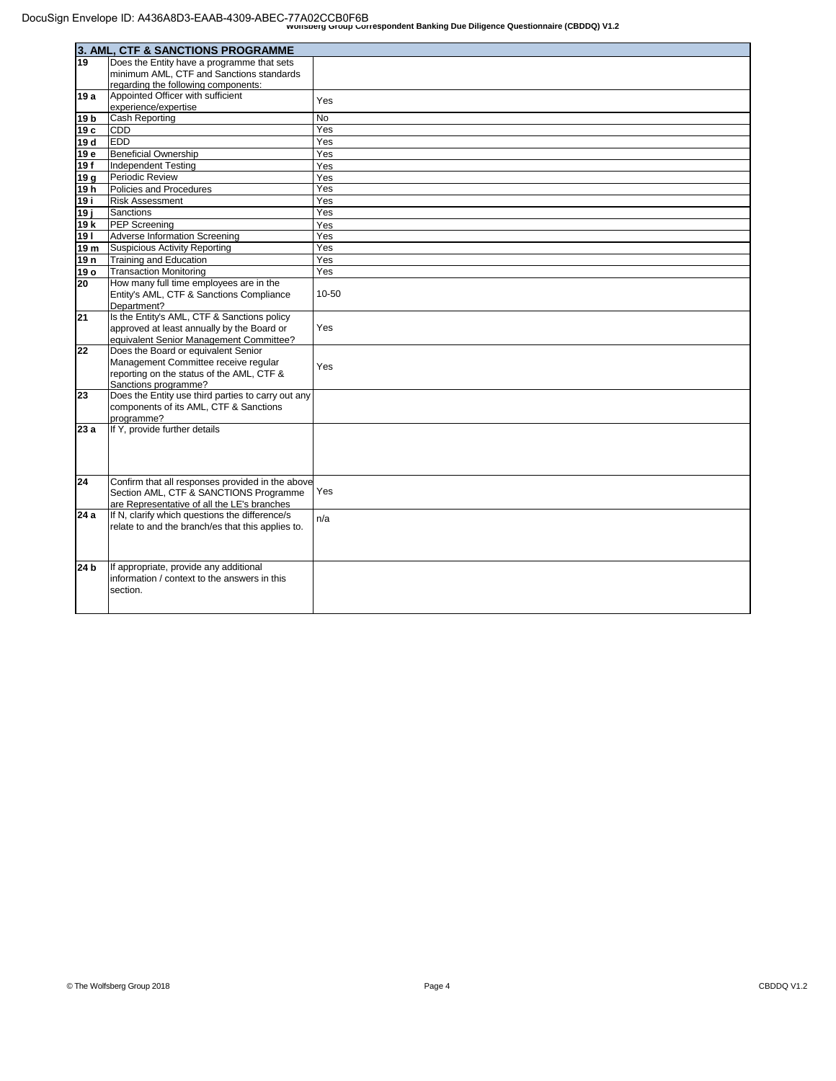|                 | 3. AML, CTF & SANCTIONS PROGRAMME                                                             |       |
|-----------------|-----------------------------------------------------------------------------------------------|-------|
| 19              | Does the Entity have a programme that sets                                                    |       |
|                 | minimum AML, CTF and Sanctions standards                                                      |       |
|                 | regarding the following components:                                                           |       |
| 19 a            | Appointed Officer with sufficient                                                             | Yes   |
|                 | experience/expertise                                                                          |       |
| 19 <sub>b</sub> | Cash Reporting                                                                                | No    |
| 19 <sub>c</sub> | CDD                                                                                           | Yes   |
| 19 d            | <b>EDD</b>                                                                                    | Yes   |
| 19 e            | <b>Beneficial Ownership</b>                                                                   | Yes   |
| 19f             | <b>Independent Testing</b>                                                                    | Yes   |
| 19q             | Periodic Review                                                                               | Yes   |
| 19 h            | Policies and Procedures                                                                       | Yes   |
| 19 i            | <b>Risk Assessment</b>                                                                        | Yes   |
| 19 i            | <b>Sanctions</b>                                                                              | Yes   |
| 19 k            | <b>PEP Screening</b>                                                                          | Yes   |
| 19              | <b>Adverse Information Screening</b>                                                          | Yes   |
| 19 m            | Suspicious Activity Reporting                                                                 | Yes   |
| 19 n            | Training and Education                                                                        | Yes   |
| 19 o            | <b>Transaction Monitoring</b>                                                                 | Yes   |
| 20              | How many full time employees are in the                                                       |       |
|                 | Entity's AML, CTF & Sanctions Compliance                                                      | 10-50 |
|                 | Department?                                                                                   |       |
| 21              | Is the Entity's AML, CTF & Sanctions policy                                                   |       |
|                 | approved at least annually by the Board or                                                    | Yes   |
|                 | equivalent Senior Management Committee?                                                       |       |
| 22              | Does the Board or equivalent Senior                                                           |       |
|                 | Management Committee receive regular                                                          | Yes   |
|                 | reporting on the status of the AML, CTF &<br>Sanctions programme?                             |       |
| 23              | Does the Entity use third parties to carry out any                                            |       |
|                 | components of its AML, CTF & Sanctions                                                        |       |
|                 | programme?                                                                                    |       |
| 23a             | If Y, provide further details                                                                 |       |
|                 |                                                                                               |       |
|                 |                                                                                               |       |
|                 |                                                                                               |       |
|                 |                                                                                               |       |
| 24              | Confirm that all responses provided in the above<br>Section AML, CTF & SANCTIONS Programme    | Yes   |
|                 |                                                                                               |       |
| 24 a            | are Representative of all the LE's branches<br>If N, clarify which questions the difference/s |       |
|                 | relate to and the branch/es that this applies to.                                             | n/a   |
|                 |                                                                                               |       |
|                 |                                                                                               |       |
|                 |                                                                                               |       |
| 24 b            | If appropriate, provide any additional                                                        |       |
|                 | information / context to the answers in this                                                  |       |
|                 | section.                                                                                      |       |
|                 |                                                                                               |       |
|                 |                                                                                               |       |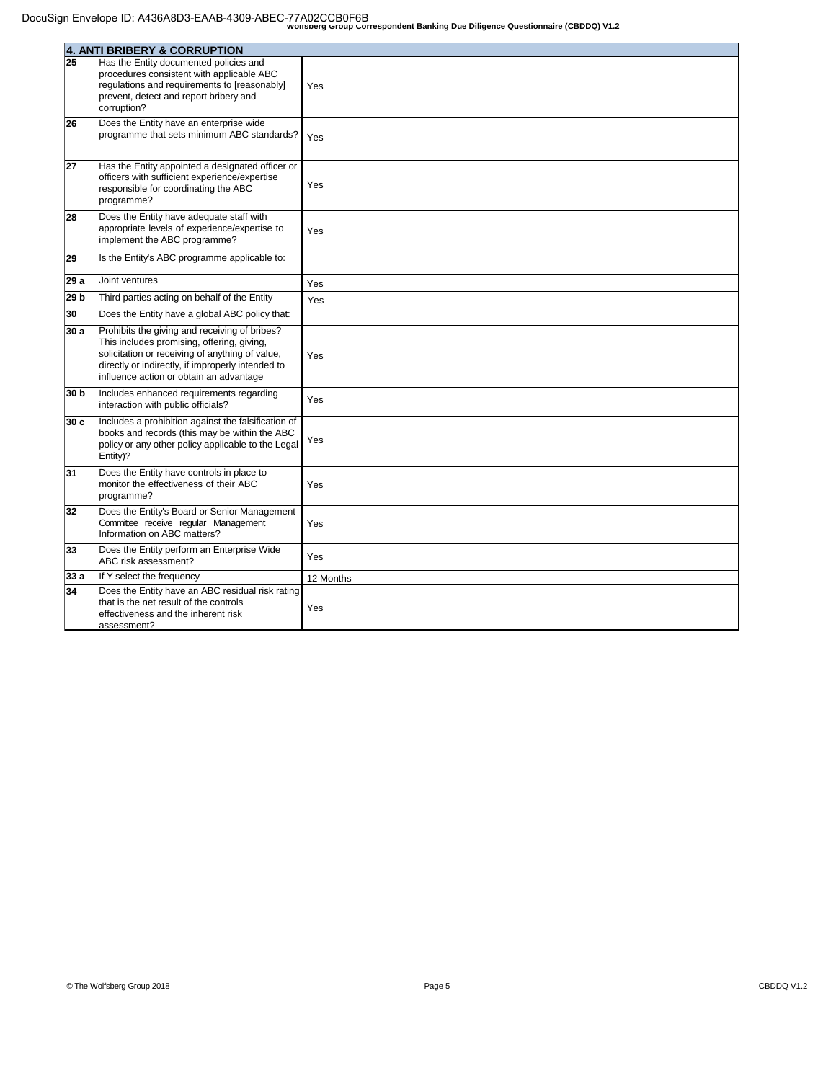|      | 4. ANTI BRIBERY & CORRUPTION                                                                                                                                                                                                                   |           |
|------|------------------------------------------------------------------------------------------------------------------------------------------------------------------------------------------------------------------------------------------------|-----------|
| 25   | Has the Entity documented policies and<br>procedures consistent with applicable ABC<br>regulations and requirements to [reasonably]<br>prevent, detect and report bribery and<br>corruption?                                                   | Yes       |
| 26   | Does the Entity have an enterprise wide<br>programme that sets minimum ABC standards?                                                                                                                                                          | Yes       |
| 27   | Has the Entity appointed a designated officer or<br>officers with sufficient experience/expertise<br>responsible for coordinating the ABC<br>programme?                                                                                        | Yes       |
| 28   | Does the Entity have adequate staff with<br>appropriate levels of experience/expertise to<br>implement the ABC programme?                                                                                                                      | Yes       |
| 29   | Is the Entity's ABC programme applicable to:                                                                                                                                                                                                   |           |
| 29 a | Joint ventures                                                                                                                                                                                                                                 | Yes       |
| 29 b | Third parties acting on behalf of the Entity                                                                                                                                                                                                   | Yes       |
| 30   | Does the Entity have a global ABC policy that:                                                                                                                                                                                                 |           |
| 30 a | Prohibits the giving and receiving of bribes?<br>This includes promising, offering, giving,<br>solicitation or receiving of anything of value,<br>directly or indirectly, if improperly intended to<br>influence action or obtain an advantage | Yes       |
| 30 b | Includes enhanced requirements regarding<br>interaction with public officials?                                                                                                                                                                 | Yes       |
| 30 c | Includes a prohibition against the falsification of<br>books and records (this may be within the ABC<br>policy or any other policy applicable to the Legal<br>Entity)?                                                                         | Yes       |
| 31   | Does the Entity have controls in place to<br>monitor the effectiveness of their ABC<br>programme?                                                                                                                                              | Yes       |
| 32   | Does the Entity's Board or Senior Management<br>Committee receive regular Management<br>Information on ABC matters?                                                                                                                            | Yes       |
| 33   | Does the Entity perform an Enterprise Wide<br>ABC risk assessment?                                                                                                                                                                             | Yes       |
| 33a  | If Y select the frequency                                                                                                                                                                                                                      | 12 Months |
| 34   | Does the Entity have an ABC residual risk rating<br>that is the net result of the controls<br>effectiveness and the inherent risk<br>assessment?                                                                                               | Yes       |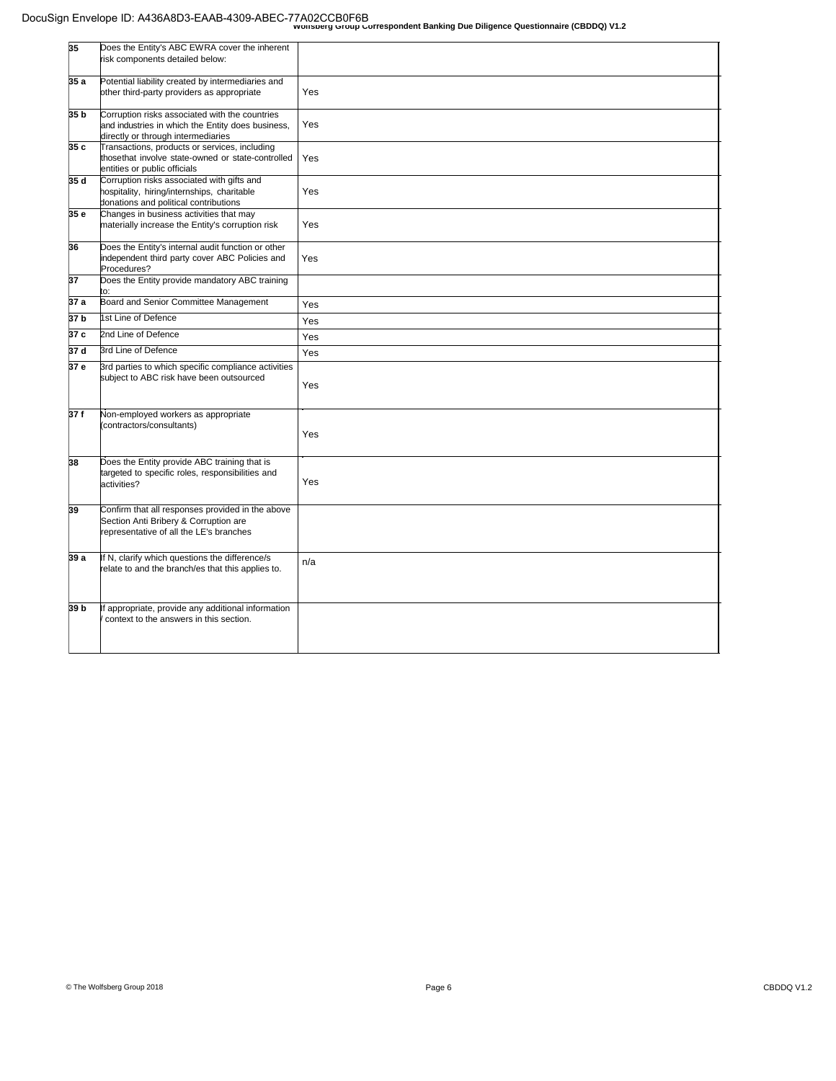| 35   | Does the Entity's ABC EWRA cover the inherent<br>risk components detailed below:                                                          |     |
|------|-------------------------------------------------------------------------------------------------------------------------------------------|-----|
| 35 a | Potential liability created by intermediaries and<br>other third-party providers as appropriate                                           | Yes |
| 35 b | Corruption risks associated with the countries<br>and industries in which the Entity does business.<br>directly or through intermediaries | Yes |
| 35 с | Transactions, products or services, including<br>thosethat involve state-owned or state-controlled<br>entities or public officials        | Yes |
| 35 d | Corruption risks associated with gifts and<br>hospitality, hiring/internships, charitable<br>donations and political contributions        | Yes |
| 35 e | Changes in business activities that may<br>materially increase the Entity's corruption risk                                               | Yes |
| 36   | Does the Entity's internal audit function or other<br>independent third party cover ABC Policies and<br>Procedures?                       | Yes |
| 37   | Does the Entity provide mandatory ABC training                                                                                            |     |
| 37 a | Board and Senior Committee Management                                                                                                     | Yes |
| 37 b | 1st Line of Defence                                                                                                                       | Yes |
| 37 c | 2nd Line of Defence                                                                                                                       | Yes |
| 37 d | <b>Brd Line of Defence</b>                                                                                                                | Yes |
| 57 е | Brd parties to which specific compliance activities<br>subject to ABC risk have been outsourced                                           | Yes |
| 37 f | Non-employed workers as appropriate<br>(contractors/consultants)                                                                          | Yes |
| 38   | Does the Entity provide ABC training that is<br>targeted to specific roles, responsibilities and<br>activities?                           | Yes |
| 39   | Confirm that all responses provided in the above<br>Section Anti Bribery & Corruption are<br>representative of all the LE's branches      |     |
| 39 a | If N, clarify which questions the difference/s<br>relate to and the branch/es that this applies to.                                       | n/a |
| 39 Ь | f appropriate, provide any additional information<br>context to the answers in this section.                                              |     |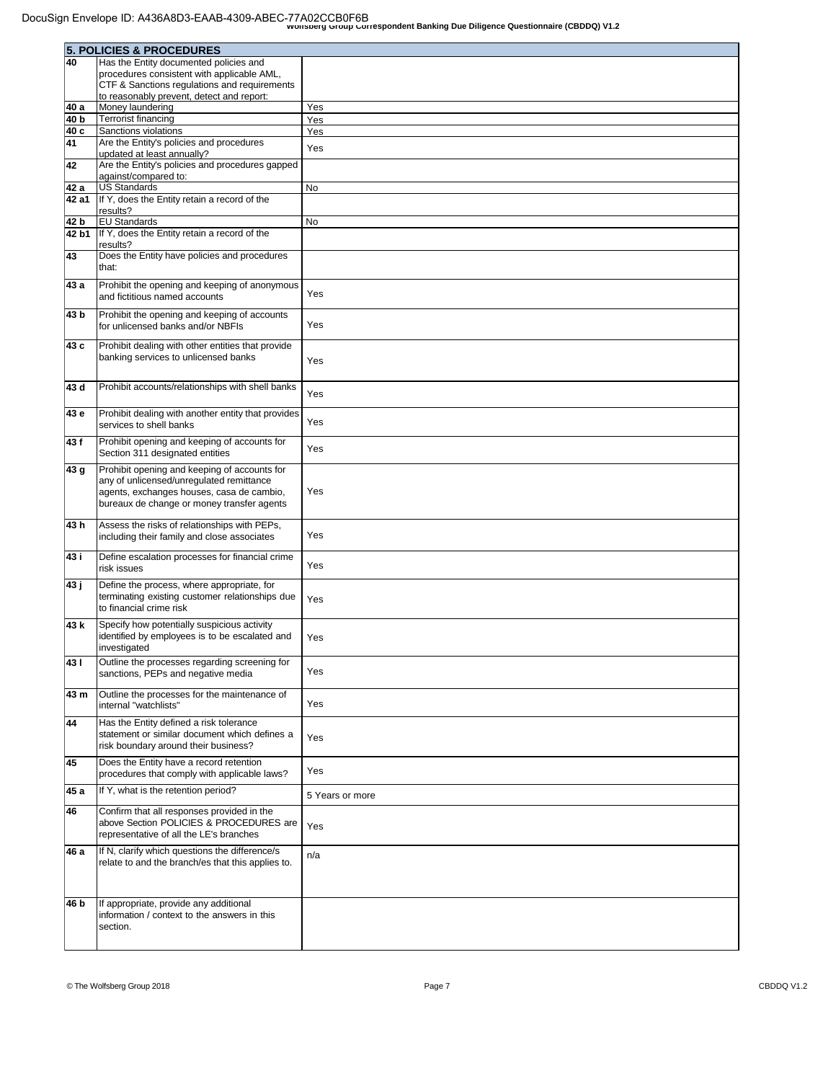|       | 5. POLICIES & PROCEDURES                                                                            |                 |  |
|-------|-----------------------------------------------------------------------------------------------------|-----------------|--|
| 40    | Has the Entity documented policies and                                                              |                 |  |
|       | procedures consistent with applicable AML,                                                          |                 |  |
|       | CTF & Sanctions regulations and requirements                                                        |                 |  |
|       | to reasonably prevent, detect and report:                                                           |                 |  |
| 40 a  | Money laundering                                                                                    | Yes             |  |
| 40 b  | Terrorist financing                                                                                 | Yes             |  |
| 40 c  | Sanctions violations                                                                                | Yes             |  |
| 41    | Are the Entity's policies and procedures                                                            | Yes             |  |
|       | updated at least annually?                                                                          |                 |  |
| 42    | Are the Entity's policies and procedures gapped<br>against/compared to:                             |                 |  |
| 42 a  | US Standards                                                                                        | No              |  |
| 42 a1 | If Y, does the Entity retain a record of the                                                        |                 |  |
|       | results?                                                                                            |                 |  |
| 42 b  | <b>EU Standards</b>                                                                                 | No              |  |
| 42 b1 | If Y, does the Entity retain a record of the                                                        |                 |  |
|       | results?                                                                                            |                 |  |
| 43    | Does the Entity have policies and procedures                                                        |                 |  |
|       | that:                                                                                               |                 |  |
| 43 a  | Prohibit the opening and keeping of anonymous                                                       |                 |  |
|       | and fictitious named accounts                                                                       | Yes             |  |
| 43 b  | Prohibit the opening and keeping of accounts                                                        |                 |  |
|       | for unlicensed banks and/or NBFIs                                                                   | Yes             |  |
|       |                                                                                                     |                 |  |
| 43 c  | Prohibit dealing with other entities that provide                                                   |                 |  |
|       | banking services to unlicensed banks                                                                | Yes             |  |
|       |                                                                                                     |                 |  |
| 43 d  | Prohibit accounts/relationships with shell banks                                                    | Yes             |  |
|       |                                                                                                     |                 |  |
| 43 e  | Prohibit dealing with another entity that provides                                                  |                 |  |
|       | services to shell banks                                                                             | Yes             |  |
| 43 f  | Prohibit opening and keeping of accounts for                                                        |                 |  |
|       | Section 311 designated entities                                                                     | Yes             |  |
| 43 g  | Prohibit opening and keeping of accounts for                                                        |                 |  |
|       | any of unlicensed/unregulated remittance                                                            |                 |  |
|       | agents, exchanges houses, casa de cambio,                                                           | Yes             |  |
|       | bureaux de change or money transfer agents                                                          |                 |  |
|       |                                                                                                     |                 |  |
| 43h   | Assess the risks of relationships with PEPs,                                                        |                 |  |
|       | including their family and close associates                                                         | Yes             |  |
| 43 i  | Define escalation processes for financial crime                                                     |                 |  |
|       | risk issues                                                                                         | Yes             |  |
| 43 ј  | Define the process, where appropriate, for                                                          |                 |  |
|       | terminating existing customer relationships due                                                     |                 |  |
|       | to financial crime risk                                                                             | Yes             |  |
|       |                                                                                                     |                 |  |
| 43 k  | Specify how potentially suspicious activity<br>identified by employees is to be escalated and       |                 |  |
|       | investigated                                                                                        | Yes             |  |
|       |                                                                                                     |                 |  |
| 431   | Outline the processes regarding screening for<br>sanctions, PEPs and negative media                 | Yes             |  |
|       |                                                                                                     |                 |  |
| 43 m  | Outline the processes for the maintenance of                                                        |                 |  |
|       | Internal "watchlists"                                                                               | Yes             |  |
| 44    | Has the Entity defined a risk tolerance                                                             |                 |  |
|       | statement or similar document which defines a                                                       |                 |  |
|       | risk boundary around their business?                                                                | Yes             |  |
| 45    | Does the Entity have a record retention                                                             |                 |  |
|       | procedures that comply with applicable laws?                                                        | Yes             |  |
|       |                                                                                                     |                 |  |
| 45 a  | If Y, what is the retention period?                                                                 | 5 Years or more |  |
| 46    | Confirm that all responses provided in the                                                          |                 |  |
|       | above Section POLICIES & PROCEDURES are                                                             |                 |  |
|       | representative of all the LE's branches                                                             | Yes             |  |
|       |                                                                                                     |                 |  |
| 46 a  | If N, clarify which questions the difference/s<br>relate to and the branch/es that this applies to. | n/a             |  |
|       |                                                                                                     |                 |  |
|       |                                                                                                     |                 |  |
|       |                                                                                                     |                 |  |
| 46 b  | If appropriate, provide any additional                                                              |                 |  |
|       | information / context to the answers in this<br>section.                                            |                 |  |
|       |                                                                                                     |                 |  |
|       |                                                                                                     |                 |  |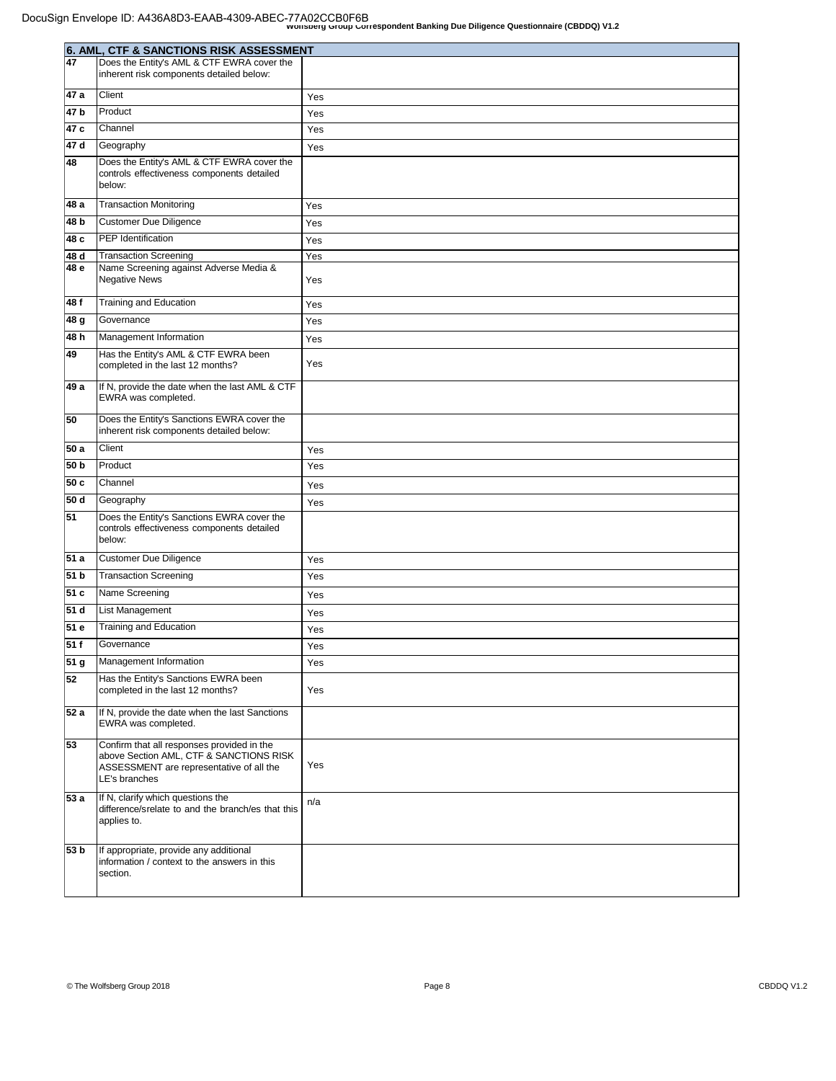|                 | 6. AML, CTF & SANCTIONS RISK ASSESSMENT                                                                                                            |     |
|-----------------|----------------------------------------------------------------------------------------------------------------------------------------------------|-----|
| 47              | Does the Entity's AML & CTF EWRA cover the                                                                                                         |     |
|                 | inherent risk components detailed below:                                                                                                           |     |
| 47a             | Client                                                                                                                                             | Yes |
| 47 <sub>b</sub> | Product                                                                                                                                            | Yes |
| 47c             | <b>Channel</b>                                                                                                                                     | Yes |
| 47d             | Geography                                                                                                                                          | Yes |
| 48              | Does the Entity's AML & CTF EWRA cover the                                                                                                         |     |
|                 | controls effectiveness components detailed<br>below:                                                                                               |     |
| 48 a            | Transaction Monitoring                                                                                                                             | Yes |
| 48 b            | Customer Due Diligence                                                                                                                             | Yes |
| 48 c            | <b>PEP</b> Identification                                                                                                                          | Yes |
| 48 d            | <b>Transaction Screening</b>                                                                                                                       | Yes |
| 48 e            | Name Screening against Adverse Media &<br>Negative News                                                                                            | Yes |
| 48 f            | Training and Education                                                                                                                             | Yes |
| 48 g            | Governance                                                                                                                                         | Yes |
| 48 h            | Management Information                                                                                                                             | Yes |
| 49              | Has the Entity's AML & CTF EWRA been<br>completed in the last 12 months?                                                                           | Yes |
| 49 a            | If N, provide the date when the last AML & CTF<br>EWRA was completed.                                                                              |     |
| 50              | Does the Entity's Sanctions EWRA cover the<br>inherent risk components detailed below:                                                             |     |
| 50 a            | Client                                                                                                                                             | Yes |
| 50 <sub>b</sub> | Product                                                                                                                                            | Yes |
| 50 c            | Channel                                                                                                                                            | Yes |
| 50 d            | Geography                                                                                                                                          | Yes |
| 51              | Does the Entity's Sanctions EWRA cover the<br>controls effectiveness components detailed<br>below:                                                 |     |
| 51 a            | Customer Due Diligence                                                                                                                             | Yes |
| 51 b            | <b>Transaction Screening</b>                                                                                                                       | Yes |
| 51 c            | Name Screening                                                                                                                                     | Yes |
| 51 d            | <b>List Management</b>                                                                                                                             | Yes |
| 51 e            | Training and Education                                                                                                                             | Yes |
| 51 f            | Governance                                                                                                                                         | Yes |
| 51 <sub>g</sub> | Management Information                                                                                                                             | Yes |
| $\overline{52}$ | Has the Entity's Sanctions EWRA been<br>completed in the last 12 months?                                                                           | Yes |
| 52 a            | If N, provide the date when the last Sanctions<br>EWRA was completed.                                                                              |     |
| 53              | Confirm that all responses provided in the<br>above Section AML, CTF & SANCTIONS RISK<br>ASSESSMENT are representative of all the<br>LE's branches | Yes |
| 53a             | If N, clarify which questions the<br>difference/srelate to and the branch/es that this<br>applies to.                                              | n/a |
| 53 b            | If appropriate, provide any additional<br>information / context to the answers in this<br>section.                                                 |     |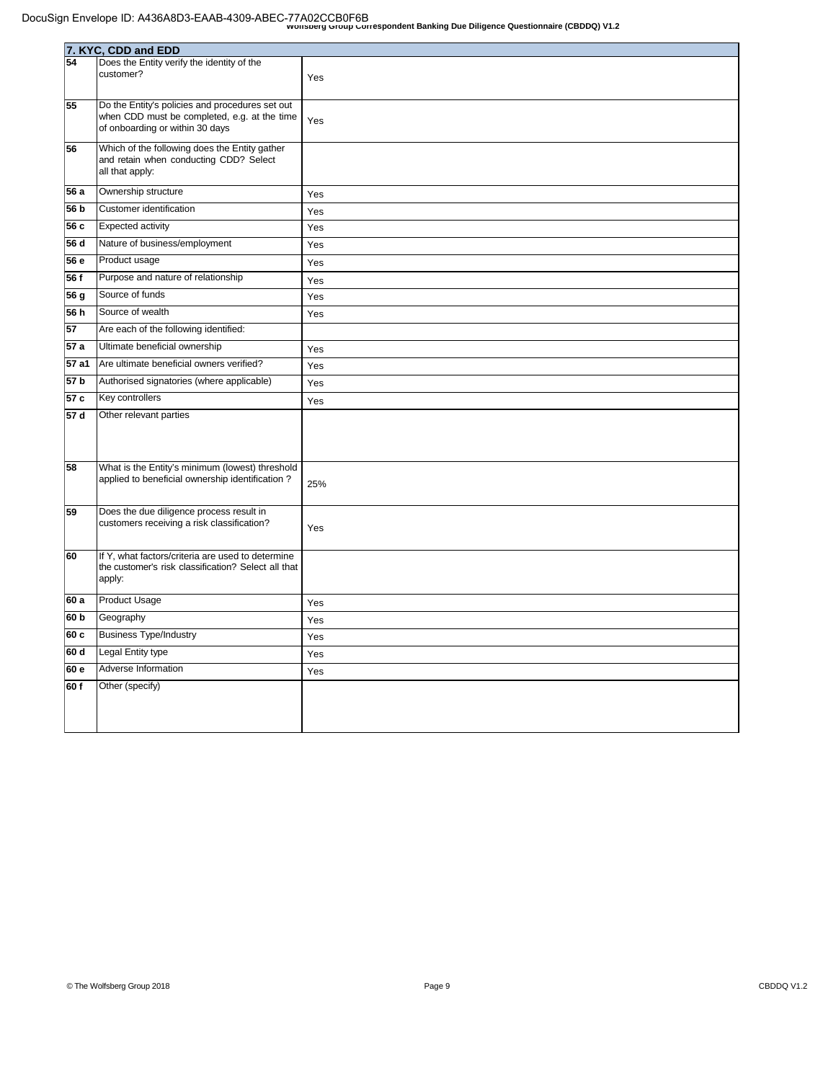|                 | 7. KYC, CDD and EDD                                                                             |     |  |
|-----------------|-------------------------------------------------------------------------------------------------|-----|--|
| 54              | Does the Entity verify the identity of the                                                      |     |  |
|                 | customer?                                                                                       | Yes |  |
|                 |                                                                                                 |     |  |
| 55              | Do the Entity's policies and procedures set out<br>when CDD must be completed, e.g. at the time |     |  |
|                 | of onboarding or within 30 days                                                                 | Yes |  |
| 56              | Which of the following does the Entity gather                                                   |     |  |
|                 | and retain when conducting CDD? Select                                                          |     |  |
|                 | all that apply:                                                                                 |     |  |
| 56 a            | Ownership structure                                                                             | Yes |  |
| 56 b            | Customer identification                                                                         | Yes |  |
| 56 c            | Expected activity                                                                               | Yes |  |
| 56 d            | Nature of business/employment                                                                   | Yes |  |
| 56 e            | Product usage                                                                                   | Yes |  |
| 56 f            | Purpose and nature of relationship                                                              | Yes |  |
| 56 g            | Source of funds                                                                                 | Yes |  |
| 56 h            | Source of wealth                                                                                | Yes |  |
| 57              | Are each of the following identified:                                                           |     |  |
| 57 a            | Ultimate beneficial ownership                                                                   | Yes |  |
| 57 a1           | Are ultimate beneficial owners verified?                                                        | Yes |  |
| 57 b            | Authorised signatories (where applicable)                                                       | Yes |  |
| 57 c            | Key controllers                                                                                 | Yes |  |
| 57 d            | Other relevant parties                                                                          |     |  |
|                 |                                                                                                 |     |  |
|                 |                                                                                                 |     |  |
| 58              | What is the Entity's minimum (lowest) threshold                                                 |     |  |
|                 | applied to beneficial ownership identification?                                                 | 25% |  |
|                 |                                                                                                 |     |  |
| 59              | Does the due diligence process result in<br>customers receiving a risk classification?          |     |  |
|                 |                                                                                                 | Yes |  |
| 60              | If Y, what factors/criteria are used to determine                                               |     |  |
|                 | the customer's risk classification? Select all that                                             |     |  |
|                 | apply:                                                                                          |     |  |
| 60 a            | <b>Product Usage</b>                                                                            | Yes |  |
| 60 <sub>b</sub> | Geography                                                                                       | Yes |  |
| 60c             | <b>Business Type/Industry</b>                                                                   | Yes |  |
| 60 d            | Legal Entity type                                                                               | Yes |  |
| 60 e            | Adverse Information                                                                             | Yes |  |
| 60f             | Other (specify)                                                                                 |     |  |
|                 |                                                                                                 |     |  |
|                 |                                                                                                 |     |  |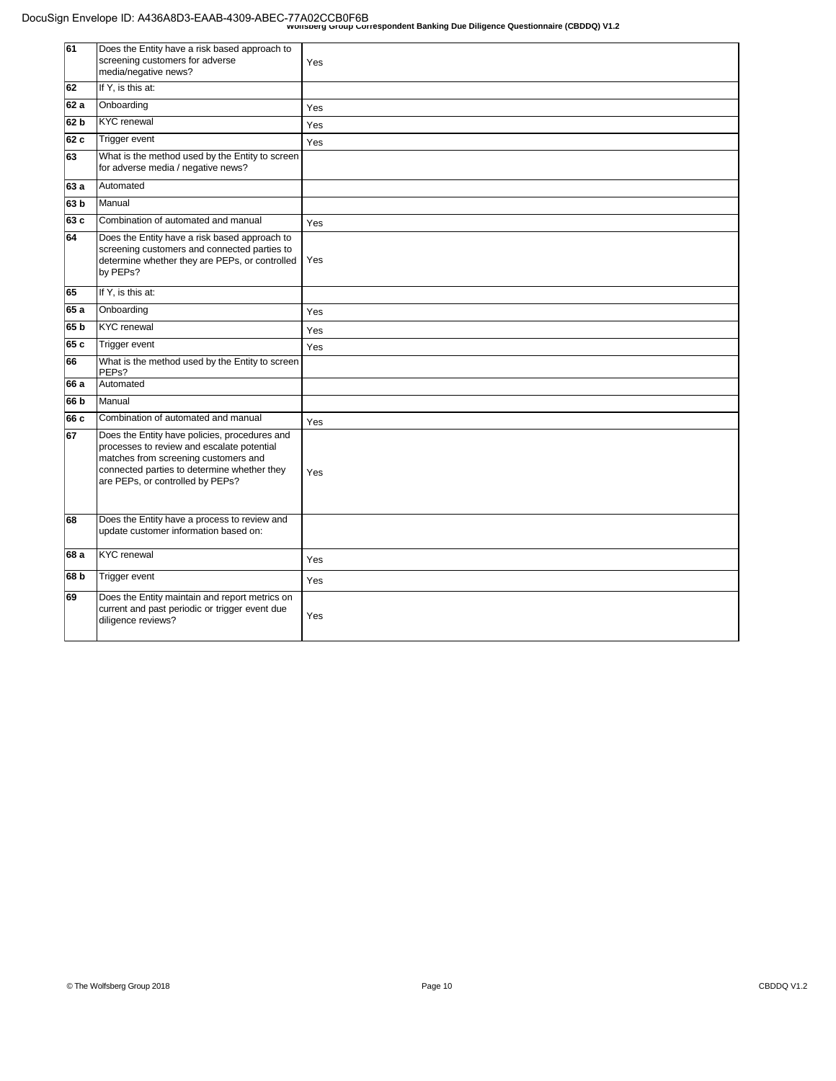| 61              | Does the Entity have a risk based approach to<br>screening customers for adverse<br>media/negative news?                                                                                                               | Yes |
|-----------------|------------------------------------------------------------------------------------------------------------------------------------------------------------------------------------------------------------------------|-----|
| 62              | If Y, is this at:                                                                                                                                                                                                      |     |
| 62 a            | Onboarding                                                                                                                                                                                                             | Yes |
| 62 b            | KYC renewal                                                                                                                                                                                                            | Yes |
| 62 c            | Trigger event                                                                                                                                                                                                          | Yes |
| 63              | What is the method used by the Entity to screen<br>for adverse media / negative news?                                                                                                                                  |     |
| 63 a            | <b>Automated</b>                                                                                                                                                                                                       |     |
| 63 <sub>b</sub> | <b>Manual</b>                                                                                                                                                                                                          |     |
| 63 c            | Combination of automated and manual                                                                                                                                                                                    | Yes |
| 64              | Does the Entity have a risk based approach to<br>screening customers and connected parties to<br>determine whether they are PEPs, or controlled<br>by PEPs?                                                            | Yes |
| 65              | If Y, is this at:                                                                                                                                                                                                      |     |
| 65 a            | Onboarding                                                                                                                                                                                                             | Yes |
| 65 <sub>b</sub> | <b>KYC</b> renewal                                                                                                                                                                                                     | Yes |
| 65 c            | Trigger event                                                                                                                                                                                                          | Yes |
| 66              | What is the method used by the Entity to screen<br>PEP <sub>s</sub> ?                                                                                                                                                  |     |
| 66 a            | Automated                                                                                                                                                                                                              |     |
| 66 b            | Manual                                                                                                                                                                                                                 |     |
| 66 c            | Combination of automated and manual                                                                                                                                                                                    | Yes |
| 67              | Does the Entity have policies, procedures and<br>processes to review and escalate potential<br>matches from screening customers and<br>connected parties to determine whether they<br>are PEPs, or controlled by PEPs? | Yes |
| 68              | Does the Entity have a process to review and<br>update customer information based on:                                                                                                                                  |     |
| 68 a            | <b>KYC</b> renewal                                                                                                                                                                                                     | Yes |
| 68 b            | Trigger event                                                                                                                                                                                                          | Yes |
| 69              | Does the Entity maintain and report metrics on<br>current and past periodic or trigger event due<br>diligence reviews?                                                                                                 | Yes |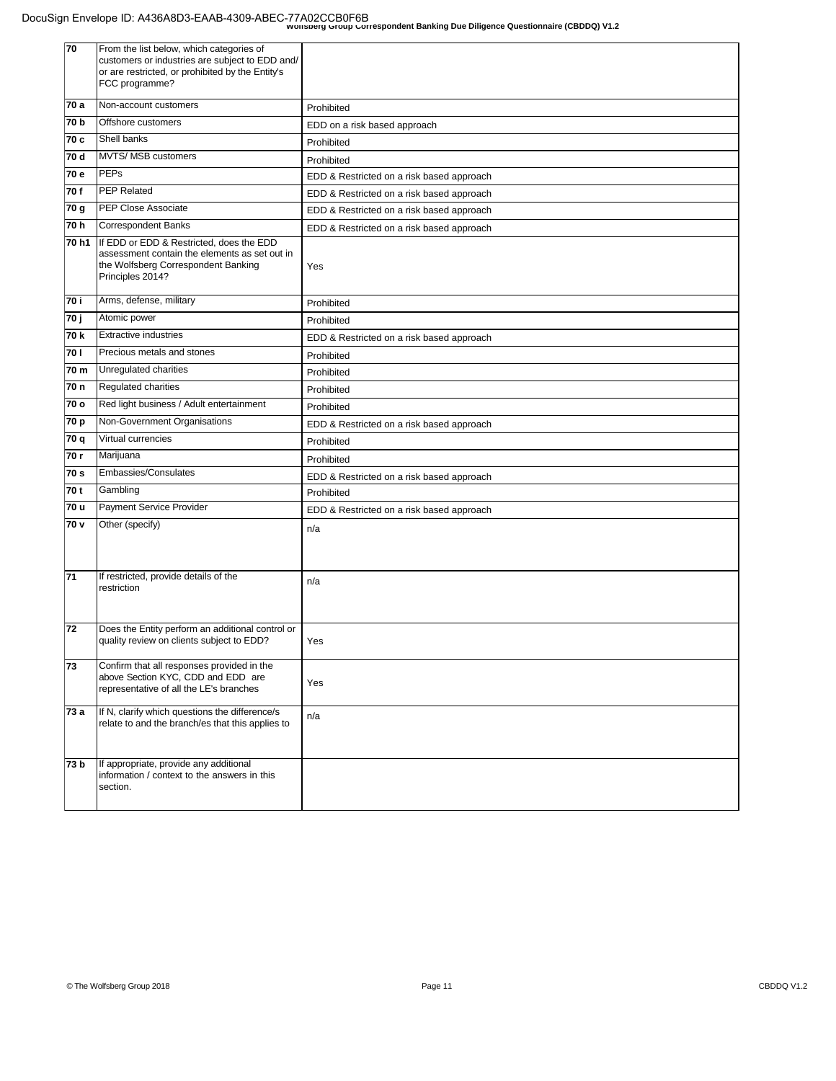| 70    | From the list below, which categories of<br>customers or industries are subject to EDD and/<br>or are restricted, or prohibited by the Entity's<br>FCC programme? |                                           |
|-------|-------------------------------------------------------------------------------------------------------------------------------------------------------------------|-------------------------------------------|
| 70 a  | Non-account customers                                                                                                                                             | Prohibited                                |
| 70 b  | Offshore customers                                                                                                                                                | EDD on a risk based approach              |
| 70 c  | Shell banks                                                                                                                                                       | Prohibited                                |
| 70 d  | MVTS/ MSB customers                                                                                                                                               | Prohibited                                |
| 70 e  | PEPs                                                                                                                                                              | EDD & Restricted on a risk based approach |
| 70 f  | PEP Related                                                                                                                                                       | EDD & Restricted on a risk based approach |
| 70 g  | PEP Close Associate                                                                                                                                               | EDD & Restricted on a risk based approach |
| 70 h  | Correspondent Banks                                                                                                                                               | EDD & Restricted on a risk based approach |
| 70 h1 | If EDD or EDD & Restricted, does the EDD<br>assessment contain the elements as set out in<br>the Wolfsberg Correspondent Banking<br>Principles 2014?              | Yes                                       |
| 70 i  | Arms, defense, military                                                                                                                                           | Prohibited                                |
| 70 ј  | Atomic power                                                                                                                                                      | Prohibited                                |
| 70 k  | <b>Extractive industries</b>                                                                                                                                      | EDD & Restricted on a risk based approach |
| 70 I  | Precious metals and stones                                                                                                                                        | Prohibited                                |
| 70 m  | Unregulated charities                                                                                                                                             | Prohibited                                |
| 70 n  | <b>Regulated charities</b>                                                                                                                                        | Prohibited                                |
| 70 o  | Red light business / Adult entertainment                                                                                                                          | Prohibited                                |
| 70 p  | Non-Government Organisations                                                                                                                                      | EDD & Restricted on a risk based approach |
| 70 q  | Virtual currencies                                                                                                                                                | Prohibited                                |
| 70 r  | Marijuana                                                                                                                                                         | Prohibited                                |
| 70 s  | Embassies/Consulates                                                                                                                                              | EDD & Restricted on a risk based approach |
| 70 t  | Gambling                                                                                                                                                          | Prohibited                                |
| 70 u  | Payment Service Provider                                                                                                                                          | EDD & Restricted on a risk based approach |
| 70 v  | Other (specify)                                                                                                                                                   | n/a                                       |
| 71    | If restricted, provide details of the<br>restriction                                                                                                              | n/a                                       |
| 72    | Does the Entity perform an additional control or<br>quality review on clients subject to EDD?                                                                     | Yes                                       |
| 73    | Confirm that all responses provided in the<br>above Section KYC, CDD and EDD are<br>representative of all the LE's branches                                       | Yes                                       |
| 73 a  | If N, clarify which questions the difference/s<br>relate to and the branch/es that this applies to                                                                | n/a                                       |
| 73 b  | If appropriate, provide any additional<br>information / context to the answers in this<br>section.                                                                |                                           |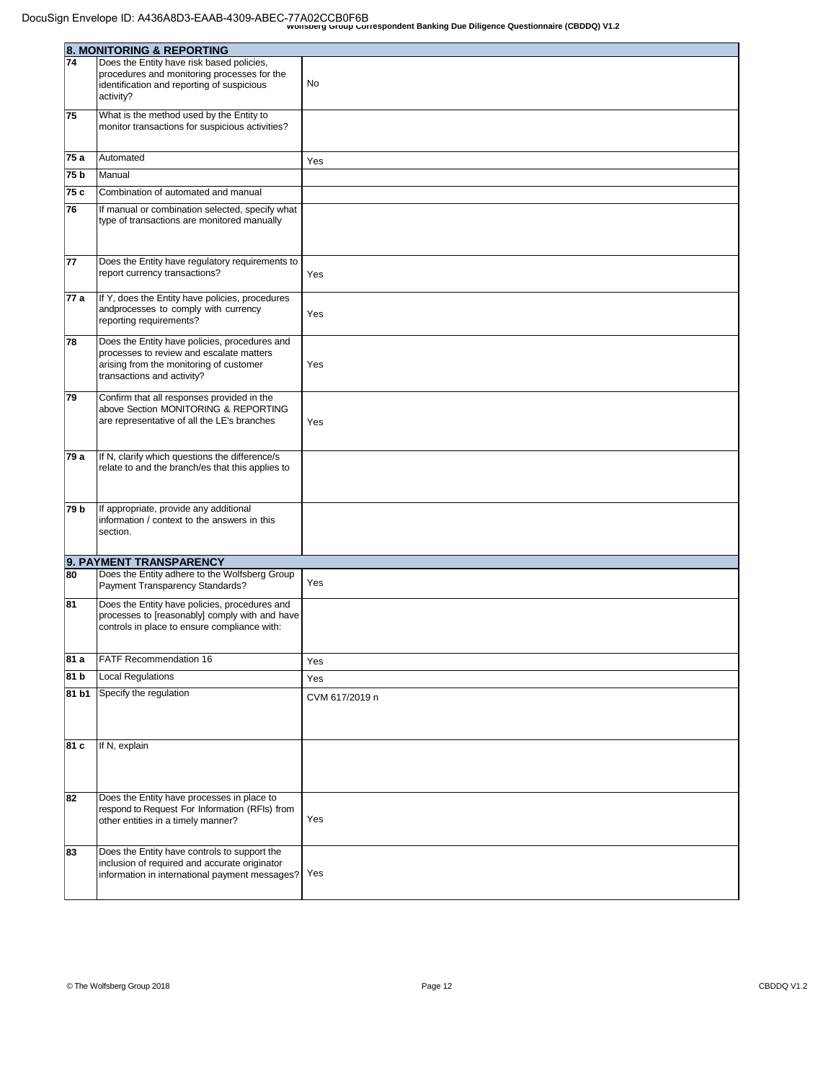|                 | 8. MONITORING & REPORTING                                |                |
|-----------------|----------------------------------------------------------|----------------|
| 74              | Does the Entity have risk based policies,                |                |
|                 | procedures and monitoring processes for the              |                |
|                 | identification and reporting of suspicious               | No             |
|                 | activity?                                                |                |
| 75              | What is the method used by the Entity to                 |                |
|                 | monitor transactions for suspicious activities?          |                |
|                 |                                                          |                |
| 75 a            | Automated                                                | Yes            |
| 75 <sub>b</sub> | Manual                                                   |                |
| 75 c            | Combination of automated and manual                      |                |
| 76              | If manual or combination selected, specify what          |                |
|                 | type of transactions are monitored manually              |                |
|                 |                                                          |                |
|                 |                                                          |                |
| 77              | Does the Entity have regulatory requirements to          |                |
|                 | report currency transactions?                            | Yes            |
| 77 a            | If Y, does the Entity have policies, procedures          |                |
|                 | andprocesses to comply with currency                     |                |
|                 | reporting requirements?                                  | Yes            |
| 78              | Does the Entity have policies, procedures and            |                |
|                 | processes to review and escalate matters                 |                |
|                 | arising from the monitoring of customer                  | Yes            |
|                 | transactions and activity?                               |                |
| 79              | Confirm that all responses provided in the               |                |
|                 | above Section MONITORING & REPORTING                     |                |
|                 | are representative of all the LE's branches              | Yes            |
|                 |                                                          |                |
| 79 a            | If N, clarify which questions the difference/s           |                |
|                 | relate to and the branch/es that this applies to         |                |
|                 |                                                          |                |
|                 |                                                          |                |
| 79 b            | If appropriate, provide any additional                   |                |
|                 | information / context to the answers in this<br>section. |                |
|                 |                                                          |                |
|                 | 9. PAYMENT TRANSPARENCY                                  |                |
| 80              | Does the Entity adhere to the Wolfsberg Group            |                |
|                 | Payment Transparency Standards?                          | Yes            |
| 81              | Does the Entity have policies, procedures and            |                |
|                 | processes to [reasonably] comply with and have           |                |
|                 | controls in place to ensure compliance with:             |                |
|                 |                                                          |                |
| 81 a            | FATF Recommendation 16                                   | Yes            |
| 81 b            | Local Regulations                                        | Yes            |
| 81 b1           | Specify the regulation                                   |                |
|                 |                                                          | CVM 617/2019 n |
|                 |                                                          |                |
|                 |                                                          |                |
| 81 c            | If N, explain                                            |                |
|                 |                                                          |                |
|                 |                                                          |                |
| 82              | Does the Entity have processes in place to               |                |
|                 | respond to Request For Information (RFIs) from           |                |
|                 | other entities in a timely manner?                       | Yes            |
|                 |                                                          |                |
| 83              | Does the Entity have controls to support the             |                |
|                 | inclusion of required and accurate originator            |                |
|                 | information in international payment messages?           | Yes            |
|                 |                                                          |                |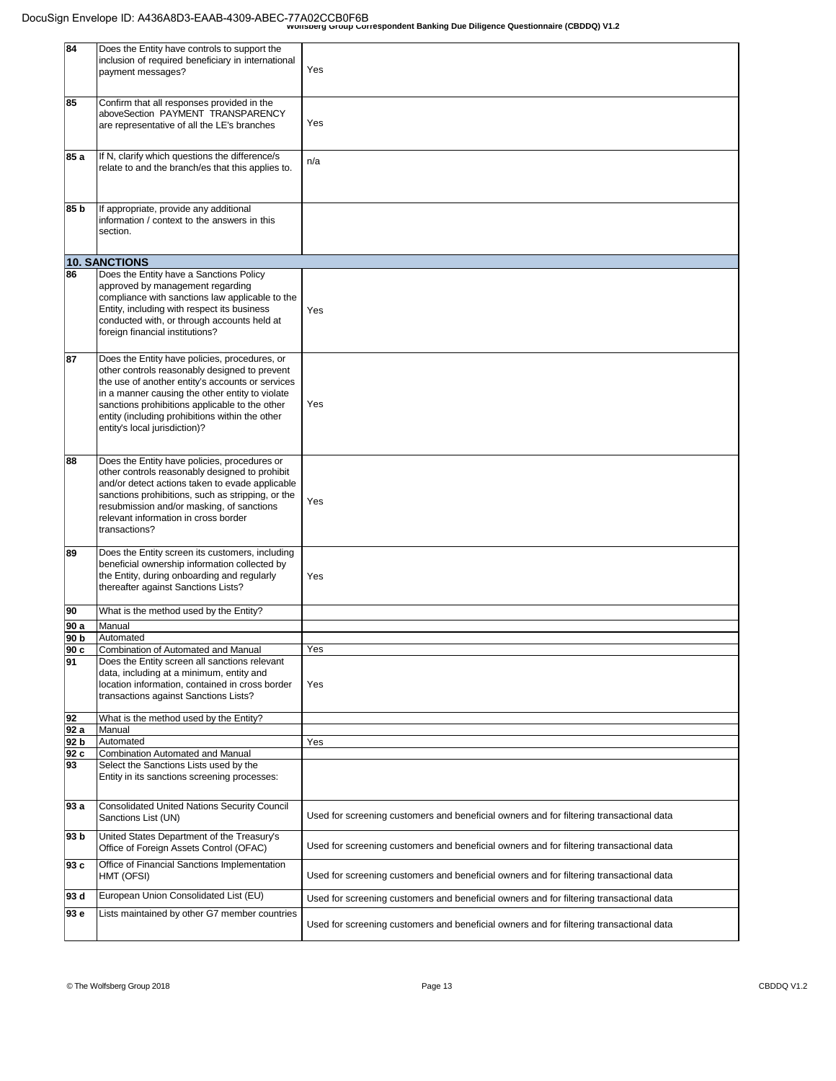| 84   | Does the Entity have controls to support the        |                                                                                         |
|------|-----------------------------------------------------|-----------------------------------------------------------------------------------------|
|      | inclusion of required beneficiary in international  |                                                                                         |
|      |                                                     | Yes                                                                                     |
|      | payment messages?                                   |                                                                                         |
|      |                                                     |                                                                                         |
|      |                                                     |                                                                                         |
| 85   | Confirm that all responses provided in the          |                                                                                         |
|      | aboveSection PAYMENT TRANSPARENCY                   |                                                                                         |
|      |                                                     | Yes                                                                                     |
|      | are representative of all the LE's branches         |                                                                                         |
|      |                                                     |                                                                                         |
|      |                                                     |                                                                                         |
| 85 a | If N, clarify which questions the difference/s      |                                                                                         |
|      |                                                     | n/a                                                                                     |
|      | relate to and the branch/es that this applies to.   |                                                                                         |
|      |                                                     |                                                                                         |
|      |                                                     |                                                                                         |
|      |                                                     |                                                                                         |
| 85 b | If appropriate, provide any additional              |                                                                                         |
|      |                                                     |                                                                                         |
|      | information / context to the answers in this        |                                                                                         |
|      | section.                                            |                                                                                         |
|      |                                                     |                                                                                         |
|      |                                                     |                                                                                         |
|      | <b>10. SANCTIONS</b>                                |                                                                                         |
|      |                                                     |                                                                                         |
| 86   | Does the Entity have a Sanctions Policy             |                                                                                         |
|      | approved by management regarding                    |                                                                                         |
|      | compliance with sanctions law applicable to the     |                                                                                         |
|      |                                                     |                                                                                         |
|      | Entity, including with respect its business         | Yes                                                                                     |
|      | conducted with, or through accounts held at         |                                                                                         |
|      | foreign financial institutions?                     |                                                                                         |
|      |                                                     |                                                                                         |
|      |                                                     |                                                                                         |
| 87   | Does the Entity have policies, procedures, or       |                                                                                         |
|      |                                                     |                                                                                         |
|      | other controls reasonably designed to prevent       |                                                                                         |
|      | the use of another entity's accounts or services    |                                                                                         |
|      | in a manner causing the other entity to violate     |                                                                                         |
|      |                                                     |                                                                                         |
|      | sanctions prohibitions applicable to the other      | Yes                                                                                     |
|      | entity (including prohibitions within the other     |                                                                                         |
|      | entity's local jurisdiction)?                       |                                                                                         |
|      |                                                     |                                                                                         |
|      |                                                     |                                                                                         |
|      |                                                     |                                                                                         |
| 88   | Does the Entity have policies, procedures or        |                                                                                         |
|      | other controls reasonably designed to prohibit      |                                                                                         |
|      |                                                     |                                                                                         |
|      | and/or detect actions taken to evade applicable     |                                                                                         |
|      | sanctions prohibitions, such as stripping, or the   |                                                                                         |
|      | resubmission and/or masking, of sanctions           | Yes                                                                                     |
|      |                                                     |                                                                                         |
|      | relevant information in cross border                |                                                                                         |
|      | transactions?                                       |                                                                                         |
|      |                                                     |                                                                                         |
| 89   | Does the Entity screen its customers, including     |                                                                                         |
|      |                                                     |                                                                                         |
|      | beneficial ownership information collected by       |                                                                                         |
|      | the Entity, during onboarding and regularly         | Yes                                                                                     |
|      | thereafter against Sanctions Lists?                 |                                                                                         |
|      |                                                     |                                                                                         |
|      |                                                     |                                                                                         |
| 90   | What is the method used by the Entity?              |                                                                                         |
| 90 a | Manual                                              |                                                                                         |
|      |                                                     |                                                                                         |
| 90 b | Automated                                           |                                                                                         |
| 90 c | Combination of Automated and Manual                 | Yes                                                                                     |
| 91   | Does the Entity screen all sanctions relevant       |                                                                                         |
|      |                                                     |                                                                                         |
|      | data, including at a minimum, entity and            |                                                                                         |
|      | location information, contained in cross border     | Yes                                                                                     |
|      | transactions against Sanctions Lists?               |                                                                                         |
|      |                                                     |                                                                                         |
|      |                                                     |                                                                                         |
| 92   | What is the method used by the Entity?              |                                                                                         |
| 92 a | Manual                                              |                                                                                         |
| 92 b | Automated                                           | Yes                                                                                     |
| 92 c | Combination Automated and Manual                    |                                                                                         |
|      |                                                     |                                                                                         |
| 93   | Select the Sanctions Lists used by the              |                                                                                         |
|      | Entity in its sanctions screening processes:        |                                                                                         |
|      |                                                     |                                                                                         |
|      |                                                     |                                                                                         |
| 93 a | <b>Consolidated United Nations Security Council</b> |                                                                                         |
|      |                                                     | Used for screening customers and beneficial owners and for filtering transactional data |
|      | Sanctions List (UN)                                 |                                                                                         |
|      |                                                     |                                                                                         |
| 93 b | United States Department of the Treasury's          |                                                                                         |
|      | Office of Foreign Assets Control (OFAC)             | Used for screening customers and beneficial owners and for filtering transactional data |
|      |                                                     |                                                                                         |
| 93 c | Office of Financial Sanctions Implementation        |                                                                                         |
|      | HMT (OFSI)                                          | Used for screening customers and beneficial owners and for filtering transactional data |
|      |                                                     |                                                                                         |
| 93 d | European Union Consolidated List (EU)               |                                                                                         |
|      |                                                     | Used for screening customers and beneficial owners and for filtering transactional data |
| 93 e | Lists maintained by other G7 member countries       |                                                                                         |
|      |                                                     |                                                                                         |
|      |                                                     | Used for screening customers and beneficial owners and for filtering transactional data |
|      |                                                     |                                                                                         |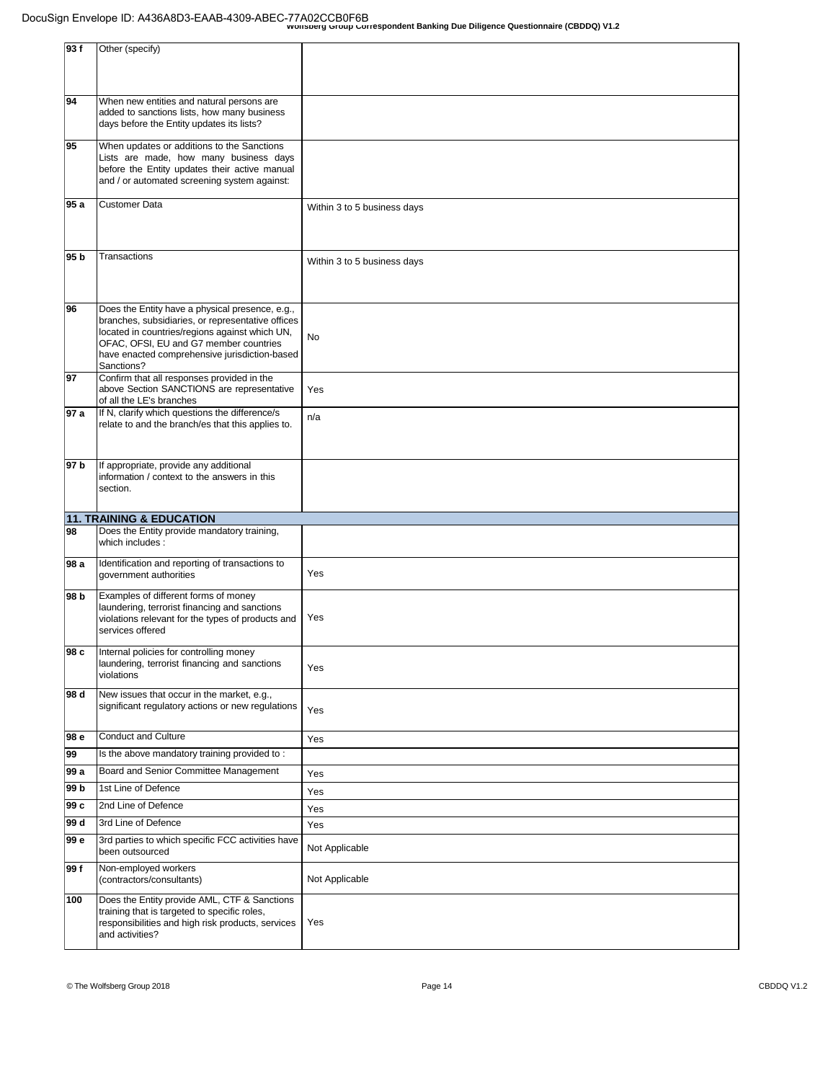| 93f             | Other (specify)                                                                                                                                                                                                                                                 |                             |
|-----------------|-----------------------------------------------------------------------------------------------------------------------------------------------------------------------------------------------------------------------------------------------------------------|-----------------------------|
| 94              | When new entities and natural persons are<br>added to sanctions lists, how many business<br>days before the Entity updates its lists?                                                                                                                           |                             |
| 95              | When updates or additions to the Sanctions<br>Lists are made, how many business days<br>before the Entity updates their active manual<br>and / or automated screening system against:                                                                           |                             |
| 95 a            | Customer Data                                                                                                                                                                                                                                                   | Within 3 to 5 business days |
| 95 <sub>b</sub> | Transactions                                                                                                                                                                                                                                                    | Within 3 to 5 business days |
| 96              | Does the Entity have a physical presence, e.g.,<br>branches, subsidiaries, or representative offices<br>located in countries/regions against which UN,<br>OFAC, OFSI, EU and G7 member countries<br>have enacted comprehensive jurisdiction-based<br>Sanctions? | No                          |
| 97              | Confirm that all responses provided in the<br>above Section SANCTIONS are representative<br>of all the LE's branches                                                                                                                                            | Yes                         |
| 97 a            | If N, clarify which questions the difference/s<br>relate to and the branch/es that this applies to.                                                                                                                                                             | n/a                         |
| 97 b            | If appropriate, provide any additional<br>information / context to the answers in this<br>section.                                                                                                                                                              |                             |
|                 | 11. TRAINING & EDUCATION                                                                                                                                                                                                                                        |                             |
| 98              | Does the Entity provide mandatory training,<br>which includes :                                                                                                                                                                                                 |                             |
| 98 a            | Identification and reporting of transactions to<br>government authorities                                                                                                                                                                                       | Yes                         |
| 98 b            | Examples of different forms of money<br>laundering, terrorist financing and sanctions<br>violations relevant for the types of products and<br>services offered                                                                                                  | Yes                         |
| 98 c            | Internal policies for controlling money<br>laundering, terrorist financing and sanctions<br>violations                                                                                                                                                          | Yes                         |
| 98 d            | New issues that occur in the market, e.g.,<br>significant regulatory actions or new regulations                                                                                                                                                                 | Yes                         |
| 98 e            | <b>Conduct and Culture</b>                                                                                                                                                                                                                                      | Yes                         |
| 99              | Is the above mandatory training provided to:                                                                                                                                                                                                                    |                             |
| 99 a            | Board and Senior Committee Management                                                                                                                                                                                                                           | Yes                         |
| 99 b            | 1st Line of Defence                                                                                                                                                                                                                                             | Yes                         |
| 99 c            | 2nd Line of Defence                                                                                                                                                                                                                                             | Yes                         |
| 99 d            | 3rd Line of Defence                                                                                                                                                                                                                                             | Yes                         |
| 99 e            | 3rd parties to which specific FCC activities have<br>been outsourced                                                                                                                                                                                            | Not Applicable              |
| 99 f            | Non-employed workers<br>(contractors/consultants)                                                                                                                                                                                                               | Not Applicable              |
| 100             | Does the Entity provide AML, CTF & Sanctions<br>training that is targeted to specific roles,<br>responsibilities and high risk products, services<br>and activities?                                                                                            | Yes                         |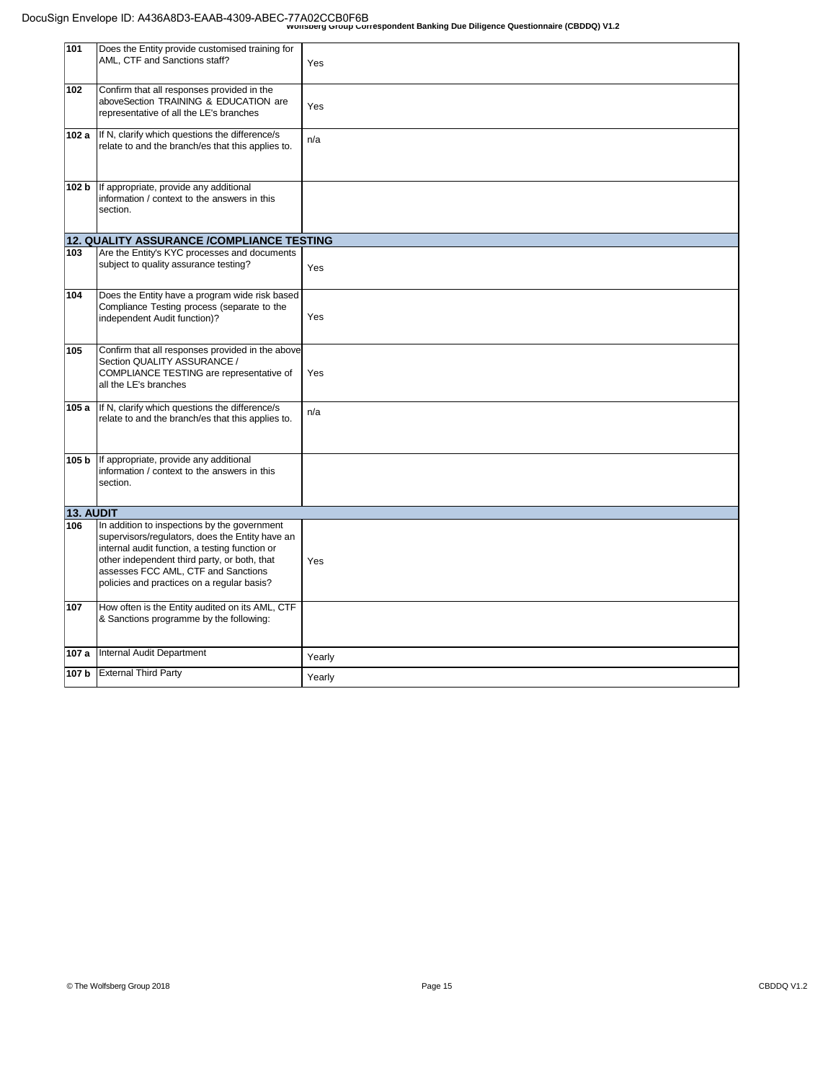| 101       | Does the Entity provide customised training for<br>AML, CTF and Sanctions staff?                                                                                                                                                                                                       | Yes    |
|-----------|----------------------------------------------------------------------------------------------------------------------------------------------------------------------------------------------------------------------------------------------------------------------------------------|--------|
| 102       | Confirm that all responses provided in the<br>aboveSection TRAINING & EDUCATION are<br>representative of all the LE's branches                                                                                                                                                         | Yes    |
| 102 a     | If N, clarify which questions the difference/s<br>relate to and the branch/es that this applies to.                                                                                                                                                                                    | n/a    |
| 102 b     | If appropriate, provide any additional<br>information / context to the answers in this<br>section.                                                                                                                                                                                     |        |
|           | 12. QUALITY ASSURANCE /COMPLIANCE TESTING                                                                                                                                                                                                                                              |        |
| 103       | Are the Entity's KYC processes and documents<br>subject to quality assurance testing?                                                                                                                                                                                                  | Yes    |
| 104       | Does the Entity have a program wide risk based<br>Compliance Testing process (separate to the<br>independent Audit function)?                                                                                                                                                          | Yes    |
| 105       | Confirm that all responses provided in the above<br>Section QUALITY ASSURANCE /<br>COMPLIANCE TESTING are representative of<br>all the LE's branches                                                                                                                                   | Yes    |
| 105 a     | If N, clarify which questions the difference/s<br>relate to and the branch/es that this applies to.                                                                                                                                                                                    | n/a    |
| 105 b     | If appropriate, provide any additional<br>information / context to the answers in this<br>section.                                                                                                                                                                                     |        |
| 13. AUDIT |                                                                                                                                                                                                                                                                                        |        |
| 106       | In addition to inspections by the government<br>supervisors/regulators, does the Entity have an<br>internal audit function, a testing function or<br>other independent third party, or both, that<br>assesses FCC AML, CTF and Sanctions<br>policies and practices on a regular basis? | Yes    |
| 107       | How often is the Entity audited on its AML, CTF<br>& Sanctions programme by the following:                                                                                                                                                                                             |        |
| 107 a     | Internal Audit Department                                                                                                                                                                                                                                                              | Yearly |
|           | 107 b External Third Party                                                                                                                                                                                                                                                             | Yearly |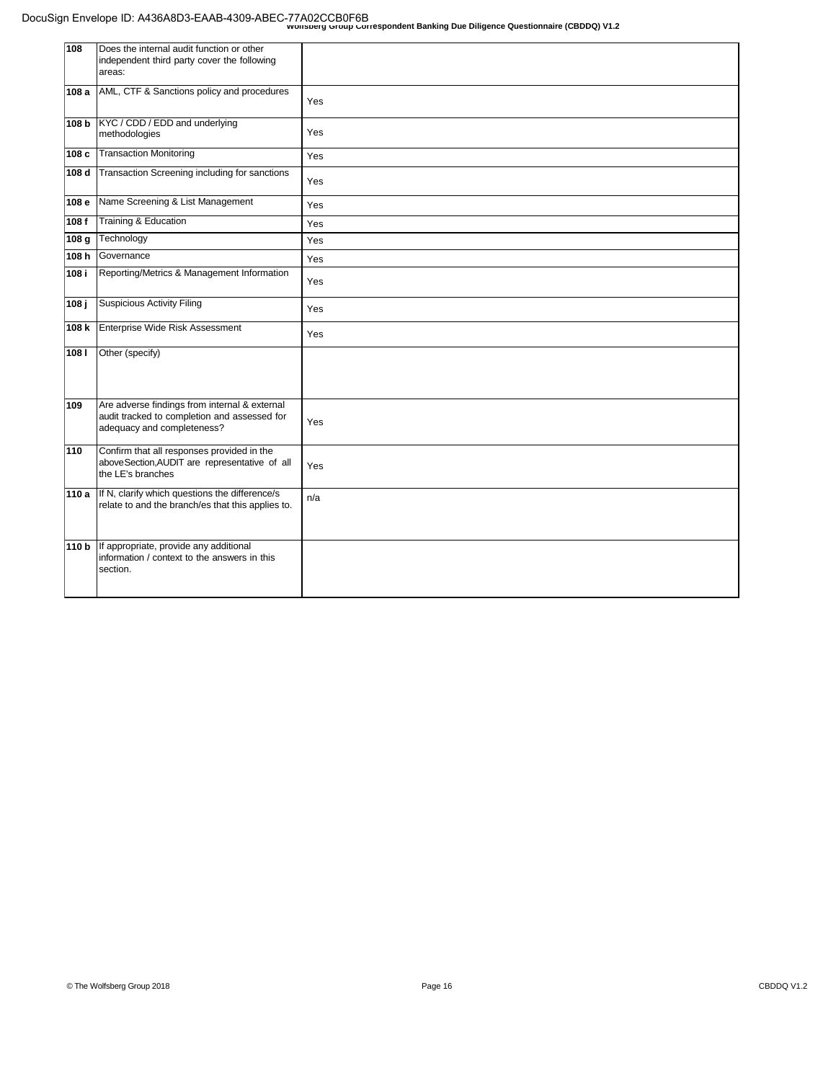| 108   | Does the internal audit function or other<br>independent third party cover the following<br>areas:                          |     |
|-------|-----------------------------------------------------------------------------------------------------------------------------|-----|
| 108 a | AML, CTF & Sanctions policy and procedures                                                                                  | Yes |
| 108 b | KYC / CDD / EDD and underlying<br>methodologies                                                                             | Yes |
| 108 c | <b>Transaction Monitoring</b>                                                                                               | Yes |
| 108 d | Transaction Screening including for sanctions                                                                               | Yes |
| 108 e | Name Screening & List Management                                                                                            | Yes |
| 108f  | Training & Education                                                                                                        | Yes |
| 108 g | Technology                                                                                                                  | Yes |
| 108 h | Governance                                                                                                                  | Yes |
| 108 i | Reporting/Metrics & Management Information                                                                                  | Yes |
| 108 j | <b>Suspicious Activity Filing</b>                                                                                           | Yes |
| 108 k | Enterprise Wide Risk Assessment                                                                                             | Yes |
| 1081  | Other (specify)                                                                                                             |     |
| 109   | Are adverse findings from internal & external<br>audit tracked to completion and assessed for<br>adequacy and completeness? | Yes |
| 110   | Confirm that all responses provided in the<br>above Section, AUDIT are representative of all<br>the LE's branches           | Yes |
| 110 a | If N, clarify which questions the difference/s<br>relate to and the branch/es that this applies to.                         | n/a |
| 110 b | If appropriate, provide any additional<br>Information / context to the answers in this<br>section.                          |     |